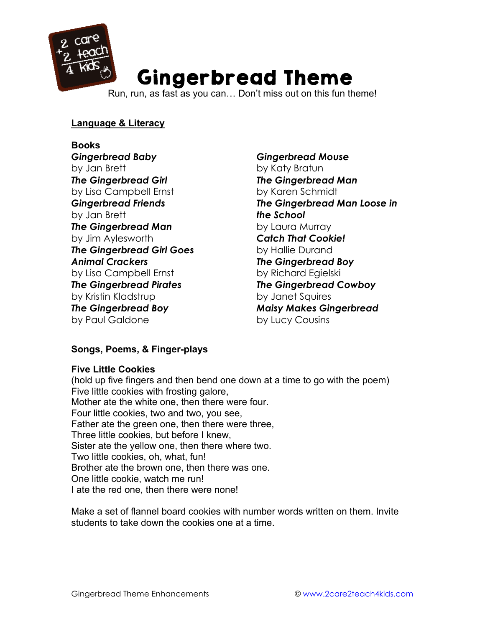

# Gingerbread Theme

Run, run, as fast as you can… Don't miss out on this fun theme!

## **Language & Literacy**

# **Books**

*Gingerbread Baby* by Jan Brett *The Gingerbread Girl*  by Lisa Campbell Ernst *Gingerbread Friends* by Jan Brett *The Gingerbread Man* by Jim Aylesworth *The Gingerbread Girl Goes Animal Crackers* by Lisa Campbell Ernst *The Gingerbread Pirates* by Kristin Kladstrup *The Gingerbread Boy* by Paul Galdone

*Gingerbread Mouse* by Katy Bratun *The Gingerbread Man* by Karen Schmidt *The Gingerbread Man Loose in the School* by Laura Murray *Catch That Cookie!* by Hallie Durand *The Gingerbread Boy* by Richard Egielski *The Gingerbread Cowboy* by Janet Squires *Maisy Makes Gingerbread* by Lucy Cousins

# **Songs, Poems, & Finger-plays**

#### **Five Little Cookies**

(hold up five fingers and then bend one down at a time to go with the poem) Five little cookies with frosting galore, Mother ate the white one, then there were four. Four little cookies, two and two, you see, Father ate the green one, then there were three, Three little cookies, but before I knew, Sister ate the yellow one, then there where two. Two little cookies, oh, what, fun! Brother ate the brown one, then there was one. One little cookie, watch me run! I ate the red one, then there were none!

Make a set of flannel board cookies with number words written on them. Invite students to take down the cookies one at a time.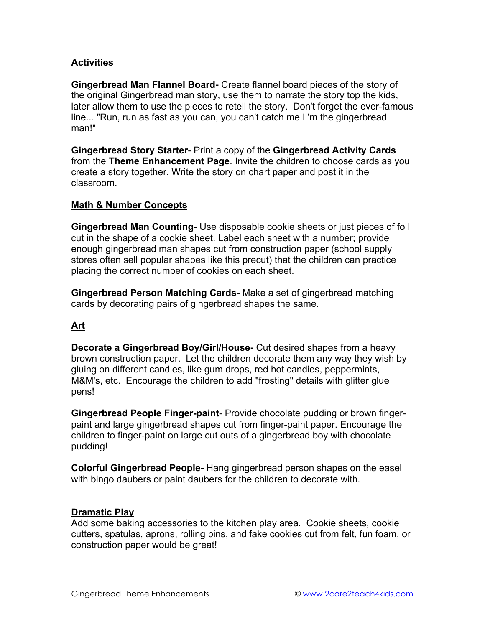#### **Activities**

**Gingerbread Man Flannel Board-** Create flannel board pieces of the story of the original Gingerbread man story, use them to narrate the story top the kids, later allow them to use the pieces to retell the story. Don't forget the ever-famous line... "Run, run as fast as you can, you can't catch me I 'm the gingerbread man!"

**Gingerbread Story Starter**- Print a copy of the **Gingerbread Activity Cards** from the **Theme Enhancement Page**. Invite the children to choose cards as you create a story together. Write the story on chart paper and post it in the classroom.

#### **Math & Number Concepts**

**Gingerbread Man Counting-** Use disposable cookie sheets or just pieces of foil cut in the shape of a cookie sheet. Label each sheet with a number; provide enough gingerbread man shapes cut from construction paper (school supply stores often sell popular shapes like this precut) that the children can practice placing the correct number of cookies on each sheet.

**Gingerbread Person Matching Cards-** Make a set of gingerbread matching cards by decorating pairs of gingerbread shapes the same.

# **Art**

**Decorate a Gingerbread Boy/Girl/House-** Cut desired shapes from a heavy brown construction paper. Let the children decorate them any way they wish by gluing on different candies, like gum drops, red hot candies, peppermints, M&M's, etc. Encourage the children to add "frosting" details with glitter glue pens!

**Gingerbread People Finger-paint**- Provide chocolate pudding or brown fingerpaint and large gingerbread shapes cut from finger-paint paper. Encourage the children to finger-paint on large cut outs of a gingerbread boy with chocolate pudding!

**Colorful Gingerbread People-** Hang gingerbread person shapes on the easel with bingo daubers or paint daubers for the children to decorate with.

#### **Dramatic Play**

Add some baking accessories to the kitchen play area. Cookie sheets, cookie cutters, spatulas, aprons, rolling pins, and fake cookies cut from felt, fun foam, or construction paper would be great!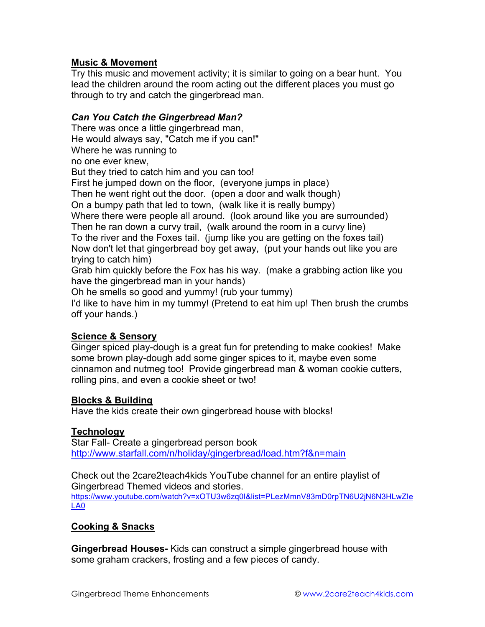## **Music & Movement**

Try this music and movement activity; it is similar to going on a bear hunt. You lead the children around the room acting out the different places you must go through to try and catch the gingerbread man.

#### *Can You Catch the Gingerbread Man?*

There was once a little gingerbread man,

He would always say, "Catch me if you can!"

Where he was running to

no one ever knew,

But they tried to catch him and you can too!

First he jumped down on the floor, (everyone jumps in place)

Then he went right out the door. (open a door and walk though)

On a bumpy path that led to town, (walk like it is really bumpy)

Where there were people all around. (look around like you are surrounded)

Then he ran down a curvy trail, (walk around the room in a curvy line)

To the river and the Foxes tail. (jump like you are getting on the foxes tail) Now don't let that gingerbread boy get away, (put your hands out like you are

trying to catch him)

Grab him quickly before the Fox has his way. (make a grabbing action like you have the gingerbread man in your hands)

Oh he smells so good and yummy! (rub your tummy)

I'd like to have him in my tummy! (Pretend to eat him up! Then brush the crumbs off your hands.)

# **Science & Sensory**

Ginger spiced play-dough is a great fun for pretending to make cookies! Make some brown play-dough add some ginger spices to it, maybe even some cinnamon and nutmeg too! Provide gingerbread man & woman cookie cutters, rolling pins, and even a cookie sheet or two!

#### **Blocks & Building**

Have the kids create their own gingerbread house with blocks!

#### **Technology**

Star Fall- Create a gingerbread person book http://www.starfall.com/n/holiday/gingerbread/load.htm?f&n=main

Check out the 2care2teach4kids YouTube channel for an entire playlist of Gingerbread Themed videos and stories. https://www.youtube.com/watch?v=xOTU3w6zq0I&list=PLezMmnV83mD0rpTN6U2jN6N3HLwZIe LA0

#### **Cooking & Snacks**

**Gingerbread Houses-** Kids can construct a simple gingerbread house with some graham crackers, frosting and a few pieces of candy.